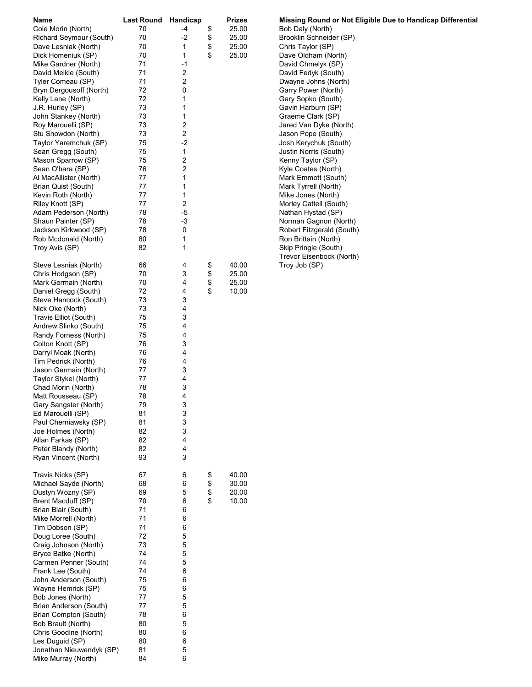| Name                     | <b>Last Round</b> | Handicap       | <b>Prizes</b> |  |
|--------------------------|-------------------|----------------|---------------|--|
| Cole Morin (North)       | 70                | -4             | \$<br>25.00   |  |
| Richard Seymour (South)  | 70                | -2             | \$<br>25.00   |  |
| Dave Lesniak (North)     | 70                | 1              | \$<br>25.00   |  |
| Dick Homeniuk (SP)       | 70                | 1              | \$<br>25.00   |  |
| Mike Gardner (North)     | 71                | -1             |               |  |
| David Meikle (South)     | 71                | 2              |               |  |
| Tyler Comeau (SP)        | 71                | $\overline{c}$ |               |  |
| Bryn Dergousoff (North)  | 72                | 0              |               |  |
| Kelly Lane (North)       | 72                | 1              |               |  |
| J.R. Hurley (SP)         | 73                | 1              |               |  |
| John Stankey (North)     | 73                | 1              |               |  |
| Roy Marouelli (SP)       | 73                | 2              |               |  |
| Stu Snowdon (North)      | 73                | $\overline{c}$ |               |  |
| Taylor Yaremchuk (SP)    | 75                | -2             |               |  |
| Sean Gregg (South)       | 75                | 1              |               |  |
| Mason Sparrow (SP)       | 75                | 2              |               |  |
| Sean O'hara (SP)         | 76                | $\overline{c}$ |               |  |
| Al MacAllister (North)   | 77                | 1              |               |  |
| Brian Quist (South)      | 77                | 1              |               |  |
| Kevin Roth (North)       | 77                | 1              |               |  |
| Riley Knott (SP)         | 77                | 2              |               |  |
| Adam Pederson (North)    | 78                | -5             |               |  |
| Shaun Painter (SP)       | 78                | -3             |               |  |
| Jackson Kirkwood (SP)    | 78                | 0              |               |  |
| Rob Mcdonald (North)     | 80                | 1              |               |  |
| Troy Avis (SP)           | 82                | 1              |               |  |
|                          |                   |                |               |  |
| Steve Lesniak (North)    | 66                | 4              | 40.00         |  |
|                          |                   | 3              | \$            |  |
| Chris Hodgson (SP)       | 70                |                | \$<br>25.00   |  |
| Mark Germain (North)     | 70                | 4              | \$<br>25.00   |  |
| Daniel Gregg (South)     | 72                | 4              | \$<br>10.00   |  |
| Steve Hancock (South)    | 73                | 3              |               |  |
| Nick Oke (North)         | 73                | 4              |               |  |
| Travis Elliot (South)    | 75                | 3              |               |  |
| Andrew Slinko (South)    | 75                | 4              |               |  |
| Randy Forness (North)    | 75                | 4              |               |  |
| Colton Knott (SP)        | 76                | 3              |               |  |
| Darryl Moak (North)      | 76                | 4              |               |  |
| Tim Pedrick (North)      | 76                | 4              |               |  |
| Jason Germain (North)    | 77                | 3              |               |  |
| Taylor Stykel (North)    | 77                | 4              |               |  |
| Chad Morin (North)       | 78                | 3              |               |  |
| Matt Rousseau (SP)       | 78                | 4              |               |  |
| Gary Sangster (North)    | 79                | 3              |               |  |
| Ed Marouelli (SP)        | 81                | 3              |               |  |
| Paul Cherniawsky (SP)    | 81                | 3              |               |  |
| Joe Holmes (North)       | 82                | 3              |               |  |
| Allan Farkas (SP)        | 82                | 4              |               |  |
| Peter Blandy (North)     | 82                | 4              |               |  |
| Ryan Vincent (North)     | 93                | 3              |               |  |
|                          |                   |                |               |  |
| Travis Nicks (SP)        | 67                | 6              | \$<br>40.00   |  |
| Michael Sayde (North)    | 68                | 6              | \$<br>30.00   |  |
| Dustyn Wozny (SP)        | 69                | 5              | \$<br>20.00   |  |
| Brent Macduff (SP)       | 70                | 6              | \$<br>10.00   |  |
| Brian Blair (South)      | 71                | 6              |               |  |
| Mike Morrell (North)     | 71                | 6              |               |  |
| Tim Dobson (SP)          | 71                | 6              |               |  |
| Doug Loree (South)       | 72                | 5              |               |  |
| Craig Johnson (North)    | 73                | 5              |               |  |
| Bryce Batke (North)      | 74                | 5              |               |  |
| Carmen Penner (South)    | 74                | 5              |               |  |
| Frank Lee (South)        | 74                | 6              |               |  |
| John Anderson (South)    | 75                | 6              |               |  |
| Wayne Hemrick (SP)       | 75                | 6              |               |  |
| Bob Jones (North)        | 77                | 5              |               |  |
| Brian Anderson (South)   | 77                | 5              |               |  |
| Brian Compton (South)    | 78                | 6              |               |  |
| Bob Brault (North)       | 80                | 5              |               |  |
| Chris Goodine (North)    | 80                | 6              |               |  |
| Les Duguid (SP)          | 80                | 6              |               |  |
| Jonathan Nieuwendyk (SP) | 81                | 5              |               |  |
| Mike Murray (North)      | 84                | 6              |               |  |
|                          |                   |                |               |  |

Missing Round or Not Eligible Due to Handicap Differential Bob Daly (North) Brooklin Schneider (SP) Chris Taylor (SP) Dave Oldham (North) David Chmelyk (SP) David Fedyk (South) Dwayne Johns (North) Garry Power (North) Gary Sopko (South) Gavin Harburn (SP) Graeme Clark (SP) Jared Van Dyke (North) Jason Pope (South) Josh Kerychuk (South) Justin Norris (South) Kenny Taylor (SP) Kyle Coates (North) Mark Emmott (South) Mark Tyrrell (North) Mike Jones (North) Morley Cattell (South) Nathan Hystad (SP) Norman Gagnon (North) Robert Fitzgerald (South) Ron Brittain (North) Skip Pringle (South) Trevor Eisenbock (North) Troy Job (SP)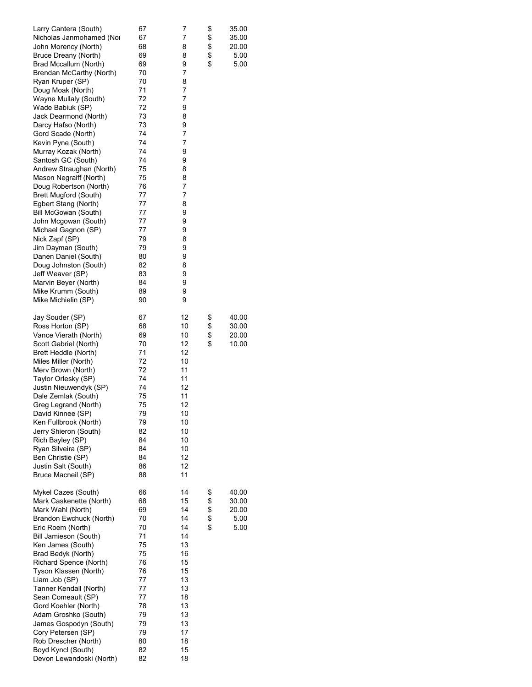| Larry Cantera (South)<br>Nicholas Janmohamed (Nor<br>John Morency (North)<br>Bruce Dreany (North)<br>Brad Mccallum (North)<br>Brendan McCarthy (North)<br>Ryan Kruper (SP)<br>Doug Moak (North)<br>Wayne Mullaly (South)<br>Wade Babiuk (SP)<br>Jack Dearmond (North)<br>Darcy Hafso (North)<br>Gord Scade (North)<br>Kevin Pyne (South)<br>Murray Kozak (North)<br>Santosh GC (South)<br>Andrew Straughan (North)<br>Mason Negraiff (North)<br>Doug Robertson (North)<br><b>Brett Mugford (South)</b><br>Egbert Stang (North)<br>Bill McGowan (South)<br>John Mcgowan (South)<br>Michael Gagnon (SP)<br>Nick Zapf (SP)<br>Jim Dayman (South)<br>Danen Daniel (South)<br>Doug Johnston (South)<br>Jeff Weaver (SP)<br>Marvin Beyer (North)<br>Mike Krumm (South)<br>Mike Michielin (SP) | 67<br>67<br>68<br>69<br>69<br>70<br>70<br>71<br>72<br>72<br>73<br>73<br>74<br>74<br>74<br>74<br>75<br>75<br>76<br>77<br>77<br>77<br>77<br>77<br>79<br>79<br>80<br>82<br>83<br>84<br>89<br>90 | 7<br>7<br>8<br>8<br>9<br>7<br>8<br>7<br>7<br>9<br>8<br>9<br>7<br>7<br>9<br>9<br>8<br>8<br>7<br>7<br>8<br>9<br>9<br>9<br>8<br>9<br>9<br>8<br>9<br>9<br>9<br>9 | \$<br>\$<br>\$<br>\$<br>\$ | 35.00<br>35.00<br>20.00<br>5.00<br>5.00 |
|-----------------------------------------------------------------------------------------------------------------------------------------------------------------------------------------------------------------------------------------------------------------------------------------------------------------------------------------------------------------------------------------------------------------------------------------------------------------------------------------------------------------------------------------------------------------------------------------------------------------------------------------------------------------------------------------------------------------------------------------------------------------------------------------|----------------------------------------------------------------------------------------------------------------------------------------------------------------------------------------------|--------------------------------------------------------------------------------------------------------------------------------------------------------------|----------------------------|-----------------------------------------|
| Jay Souder (SP)<br>Ross Horton (SP)<br>Vance Vierath (North)<br>Scott Gabriel (North)<br>Brett Heddle (North)<br>Miles Miller (North)<br>Merv Brown (North)<br>Taylor Orlesky (SP)<br>Justin Nieuwendyk (SP)<br>Dale Zemlak (South)<br>Greg Legrand (North)<br>David Kinnee (SP)<br>Ken Fullbrook (North)<br>Jerry Shieron (South)<br>Rich Bayley (SP)<br>Ryan Silveira (SP)<br>Ben Christie (SP)<br>Justin Salt (South)<br>Bruce Macneil (SP)                                                                                                                                                                                                                                                                                                                                          | 67<br>68<br>69<br>70<br>71<br>72<br>72<br>74<br>74<br>75<br>75<br>79<br>79<br>82<br>84<br>84<br>84<br>86<br>88                                                                               | 12<br>10<br>10<br>12<br>12<br>10<br>11<br>11<br>12<br>11<br>12<br>10<br>10<br>10<br>10<br>10<br>12<br>12<br>11                                               | \$<br>\$<br>\$<br>\$       | 40.00<br>30.00<br>20.00<br>10.00        |
| Mykel Cazes (South)<br>Mark Caskenette (North)<br>Mark Wahl (North)<br>Brandon Ewchuck (North)<br>Eric Roem (North)<br>Bill Jamieson (South)<br>Ken James (South)<br>Brad Bedyk (North)<br>Richard Spence (North)<br>Tyson Klassen (North)<br>Liam Job (SP)<br>Tanner Kendall (North)<br>Sean Comeault (SP)<br>Gord Koehler (North)<br>Adam Groshko (South)<br>James Gospodyn (South)<br>Cory Petersen (SP)<br>Rob Drescher (North)<br>Boyd Kyncl (South)<br>Devon Lewandoski (North)                                                                                                                                                                                                                                                                                                   | 66<br>68<br>69<br>70<br>70<br>71<br>75<br>75<br>76<br>76<br>77<br>77<br>77<br>78<br>79<br>79<br>79<br>80<br>82<br>82                                                                         | 14<br>15<br>14<br>14<br>14<br>14<br>13<br>16<br>15<br>15<br>13<br>13<br>18<br>13<br>13<br>13<br>17<br>18<br>15<br>18                                         | \$<br>\$<br>\$<br>\$<br>\$ | 40.00<br>30.00<br>20.00<br>5.00<br>5.00 |